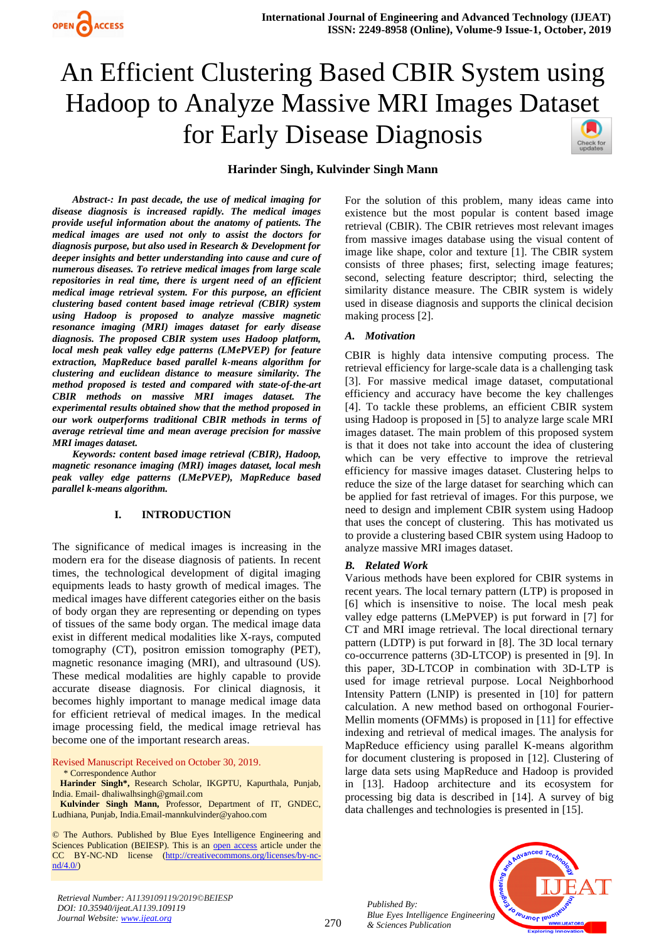



## **Harinder Singh, Kulvinder Singh Mann**

*Abstract-: In past decade, the use of medical imaging for disease diagnosis is increased rapidly. The medical images provide useful information about the anatomy of patients. The medical images are used not only to assist the doctors for diagnosis purpose, but also used in Research & Development for deeper insights and better understanding into cause and cure of numerous diseases. To retrieve medical images from large scale repositories in real time, there is urgent need of an efficient medical image retrieval system. For this purpose, an efficient clustering based content based image retrieval (CBIR) system using Hadoop is proposed to analyze massive magnetic resonance imaging (MRI) images dataset for early disease diagnosis. The proposed CBIR system uses Hadoop platform, local mesh peak valley edge patterns (LMePVEP) for feature extraction, MapReduce based parallel k-means algorithm for clustering and euclidean distance to measure similarity. The method proposed is tested and compared with state-of-the-art CBIR methods on massive MRI images dataset. The experimental results obtained show that the method proposed in our work outperforms traditional CBIR methods in terms of average retrieval time and mean average precision for massive MRI images dataset.*

*Keywords: content based image retrieval (CBIR), Hadoop, magnetic resonance imaging (MRI) images dataset, local mesh peak valley edge patterns (LMePVEP), MapReduce based parallel k-means algorithm.*

#### **I. INTRODUCTION**

The significance of medical images is increasing in the modern era for the disease diagnosis of patients. In recent times, the technological development of digital imaging equipments leads to hasty growth of medical images. The medical images have different categories either on the basis of body organ they are representing or depending on types of tissues of the same body organ. The medical image data exist in different medical modalities like X-rays, computed tomography (CT), positron emission tomography (PET), magnetic resonance imaging (MRI), and ultrasound (US). These medical modalities are highly capable to provide accurate disease diagnosis. For clinical diagnosis, it becomes highly important to manage medical image data for efficient retrieval of medical images. In the medical image processing field, the medical image retrieval has become one of the important research areas.

Revised Manuscript Received on October 30, 2019. \* Correspondence Author

**Harinder Singh\*,** Research Scholar, IKGPTU, Kapurthala, Punjab, India. Email- dhaliwalhsingh@gmail.com

**Kulvinder Singh Mann,** Professor, Department of IT, GNDEC, Ludhiana, Punjab, Indi[a.Email-mannkulvinder@yahoo.com](mailto:Email-mannkulvinder@yahoo.com)

© The Authors. Published by Blue Eyes Intelligence Engineering and Sciences Publication (BEIESP). This is an [open access](https://www.openaccess.nl/en/open-publications) article under the CC BY-NC-ND license [\(http://creativecommons.org/licenses/by-nc](http://creativecommons.org/licenses/by-nc-nd/4.0/)[nd/4.0/\)](http://creativecommons.org/licenses/by-nc-nd/4.0/)

For the solution of this problem, many ideas came into existence but the most popular is content based image retrieval (CBIR). The CBIR retrieves most relevant images from massive images database using the visual content of image like shape, color and texture [1]. The CBIR system consists of three phases; first, selecting image features; second, selecting feature descriptor; third, selecting the similarity distance measure. The CBIR system is widely used in disease diagnosis and supports the clinical decision making process [2].

#### *A. Motivation*

CBIR is highly data intensive computing process. The retrieval efficiency for large-scale data is a challenging task [3]. For massive medical image dataset, computational efficiency and accuracy have become the key challenges [4]. To tackle these problems, an efficient CBIR system using Hadoop is proposed in [5] to analyze large scale MRI images dataset. The main problem of this proposed system is that it does not take into account the idea of clustering which can be very effective to improve the retrieval efficiency for massive images dataset. Clustering helps to reduce the size of the large dataset for searching which can be applied for fast retrieval of images. For this purpose, we need to design and implement CBIR system using Hadoop that uses the concept of clustering. This has motivated us to provide a clustering based CBIR system using Hadoop to analyze massive MRI images dataset.

#### *B. Related Work*

Various methods have been explored for CBIR systems in recent years. The local ternary pattern (LTP) is proposed in [6] which is insensitive to noise. The local mesh peak valley edge patterns (LMePVEP) is put forward in [7] for CT and MRI image retrieval. The local directional ternary pattern (LDTP) is put forward in [8]. The 3D local ternary co-occurrence patterns (3D-LTCOP) is presented in [9]. In this paper, 3D-LTCOP in combination with 3D-LTP is used for image retrieval purpose. Local Neighborhood Intensity Pattern (LNIP) is presented in [10] for pattern calculation. A new method based on orthogonal Fourier-Mellin moments (OFMMs) is proposed in [11] for effective indexing and retrieval of medical images. The analysis for MapReduce efficiency using parallel K-means algorithm for document clustering is proposed in [12]. Clustering of large data sets using MapReduce and Hadoop is provided in [13]. Hadoop architecture and its ecosystem for processing big data is described in [14]. A survey of big data challenges and technologies is presented in [15].

*Published By: Blue Eyes Intelligence Engineering & Sciences Publication* 



*Retrieval Number: A1139109119/2019©BEIESP DOI: 10.35940/ijeat.A1139.109119 Journal Website[: www.ijeat.org](http://www.ijeat.org/)*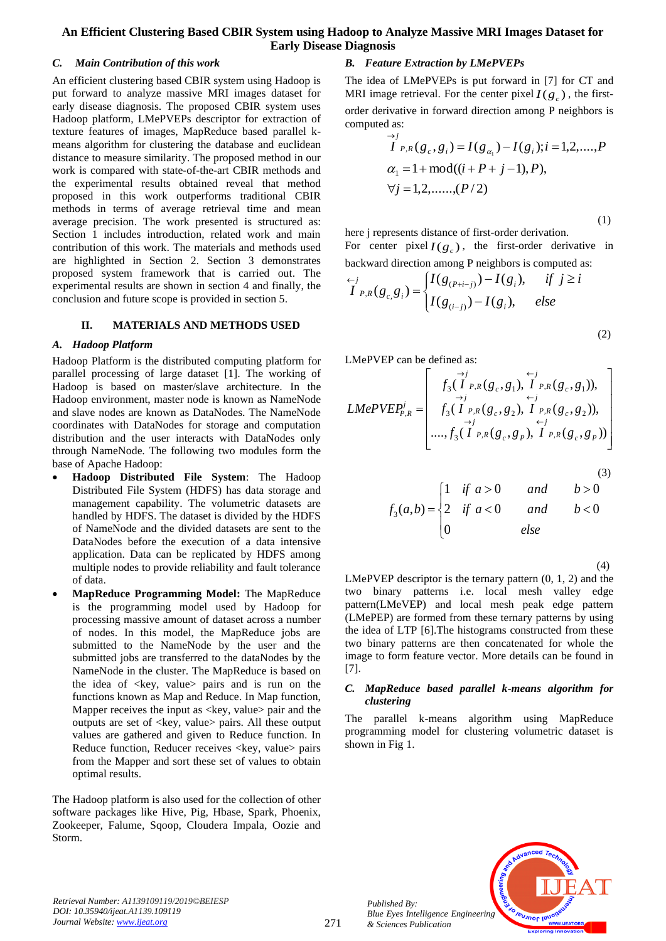#### *C. Main Contribution of this work*

An efficient clustering based CBIR system using Hadoop is put forward to analyze massive MRI images dataset for early disease diagnosis. The proposed CBIR system uses Hadoop platform, LMePVEPs descriptor for extraction of texture features of images, MapReduce based parallel kmeans algorithm for clustering the database and euclidean distance to measure similarity. The proposed method in our work is compared with state-of-the-art CBIR methods and the experimental results obtained reveal that method proposed in this work outperforms traditional CBIR methods in terms of average retrieval time and mean average precision. The work presented is structured as: Section 1 includes introduction, related work and main contribution of this work. The materials and methods used are highlighted in Section 2. Section 3 demonstrates proposed system framework that is carried out. The experimental results are shown in section 4 and finally, the conclusion and future scope is provided in section 5.

## **II. MATERIALS AND METHODS USED**

#### *A. Hadoop Platform*

Hadoop Platform is the distributed computing platform for parallel processing of large dataset [1]. The working of Hadoop is based on master/slave architecture. In the Hadoop environment, master node is known as NameNode and slave nodes are known as DataNodes. The NameNode coordinates with DataNodes for storage and computation distribution and the user interacts with DataNodes only through NameNode. The following two modules form the base of Apache Hadoop:

- **Hadoop Distributed File System**: The Hadoop Distributed File System (HDFS) has data storage and management capability. The volumetric datasets are handled by HDFS. The dataset is divided by the HDFS of NameNode and the divided datasets are sent to the DataNodes before the execution of a data intensive application. Data can be replicated by HDFS among multiple nodes to provide reliability and fault tolerance of data.
- **MapReduce Programming Model:** The MapReduce is the programming model used by Hadoop for processing massive amount of dataset across a number of nodes. In this model, the MapReduce jobs are submitted to the NameNode by the user and the submitted jobs are transferred to the dataNodes by the NameNode in the cluster. The MapReduce is based on the idea of  $\langle key, value \rangle$  pairs and is run on the functions known as Map and Reduce. In Map function, Mapper receives the input as  $\langle \text{key}, \text{value} \rangle$  pair and the outputs are set of <key, value> pairs. All these output values are gathered and given to Reduce function. In Reduce function, Reducer receives <key, value> pairs from the Mapper and sort these set of values to obtain optimal results.

The Hadoop platform is also used for the collection of other software packages like Hive, Pig, Hbase, Spark, Phoenix, Zookeeper, Falume, Sqoop, Cloudera Impala, Oozie and Storm.

## *B. Feature Extraction by LMePVEPs*

The idea of LMePVEPs is put forward in [7] for CT and MRI image retrieval. For the center pixel  $I(g_c)$ , the firstorder derivative in forward direction among P neighbors is computed as:

$$
\overrightarrow{I}_{P,R}(g_c, g_i) = I(g_{\alpha_1}) - I(g_i); i = 1, 2, \dots, P
$$
  
\n
$$
\alpha_1 = 1 + \text{mod}((i + P + j - 1), P),
$$
  
\n
$$
\forall j = 1, 2, \dots, (P/2)
$$

(1)

here j represents distance of first-order derivation. For center pixel  $I(g_c)$ , the first-order derivative in backward direction among P neighbors is computed as:

$$
\overline{I}_{P,R}(g_{c,S_i}) = \begin{cases} I(g_{(P+i-j)}) - I(g_i), & \text{if } j \ge i \\ I(g_{(i-j)}) - I(g_i), & \text{else} \end{cases} \tag{2}
$$

LMePVEP can be defined as:

$$
LMePVEP_{P,R}^{j} = \begin{bmatrix} \overrightarrow{f}_{3}(I_{P,R}(g_{c}, g_{1}), I_{P,R}(g_{c}, g_{1})), \\ \overrightarrow{f}_{3}(I_{P,R}(g_{c}, g_{2}), I_{P,R}(g_{c}, g_{2})), \\ \overrightarrow{f}_{3}(I_{P,R}(g_{c}, g_{2}), I_{P,R}(g_{c}, g_{P})) \\ \dots, f_{3}(I_{P,R}(g_{c}, g_{P}), I_{P,R}(g_{c}, g_{P})) \end{bmatrix}
$$

(3)  

$$
f_3(a,b) = \begin{cases} 1 & \text{if } a > 0 \\ 2 & \text{if } a < 0 \\ 0 & \text{else} \end{cases} \text{ and } b > 0
$$

 (4) LMePVEP descriptor is the ternary pattern (0, 1, 2) and the two binary patterns i.e. local mesh valley edge pattern(LMeVEP) and local mesh peak edge pattern (LMePEP) are formed from these ternary patterns by using the idea of LTP [6].The histograms constructed from these two binary patterns are then concatenated for whole the image to form feature vector. More details can be found in [7].

## *C. MapReduce based parallel k-means algorithm for clustering*

The parallel k-means algorithm using MapReduce programming model for clustering volumetric dataset is shown in Fig 1.



*Retrieval Number: A1139109119/2019©BEIESP DOI: 10.35940/ijeat.A1139.109119 Journal Website[: www.ijeat.org](http://www.ijeat.org/)*

*Published By:*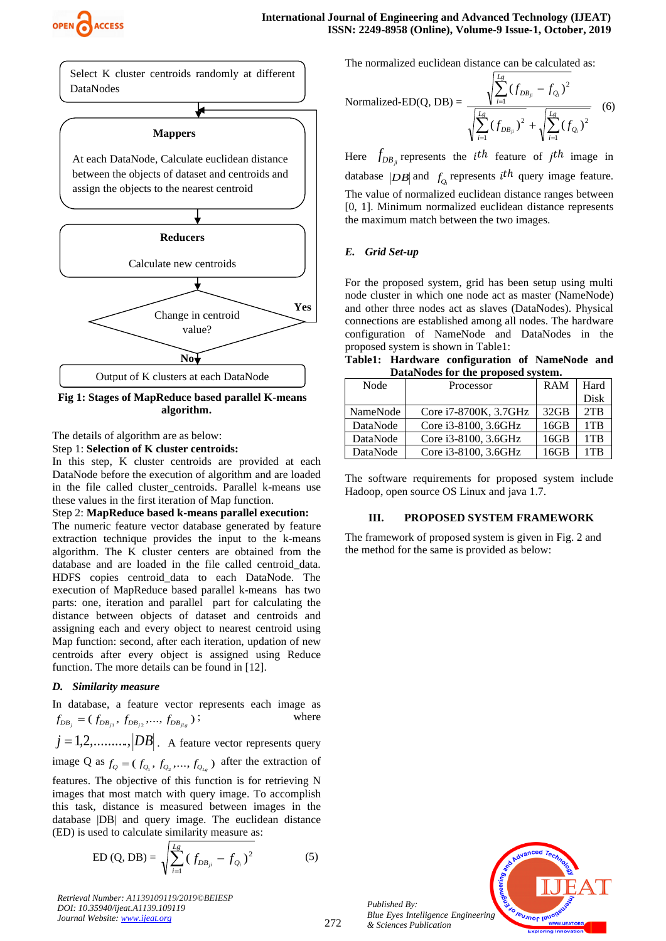



 **Fig 1: Stages of MapReduce based parallel K-means algorithm.**

The details of algorithm are as below:

Step 1: **Selection of K cluster centroids:**

In this step, K cluster centroids are provided at each DataNode before the execution of algorithm and are loaded in the file called cluster\_centroids. Parallel k-means use these values in the first iteration of Map function.

#### Step 2: **MapReduce based k-means parallel execution:**

The numeric feature vector database generated by feature extraction technique provides the input to the k-means algorithm. The K cluster centers are obtained from the database and are loaded in the file called centroid\_data. HDFS copies centroid data to each DataNode. The execution of MapReduce based parallel k-means has two parts: one, iteration and parallel part for calculating the distance between objects of dataset and centroids and assigning each and every object to nearest centroid using Map function: second, after each iteration, updation of new centroids after every object is assigned using Reduce function. The more details can be found in [12].

## *D. Similarity measure*

In database, a feature vector represents each image as  $(f_{DB_j} = (f_{DB_{j1}}, f_{DB_{j2}}, \ldots, f_{DB_{jL_g}})$ where

 $j = 1, 2, \dots, |DB|$ . A feature vector represents query image Q as  $f_Q = (f_{Q_1}, f_{Q_2},..., f_{Q_{L_g}})$  after the extraction of features. The objective of this function is for retrieving N images that most match with query image. To accomplish this task, distance is measured between images in the database |DB| and query image. The euclidean distance (ED) is used to calculate similarity measure as:

ED (Q, DB) = 
$$
\sqrt{\sum_{i=1}^{Lg} (f_{DB_{ji}} - f_{Q_i})^2}
$$
 (5)

*Retrieval Number: A1139109119/2019©BEIESP DOI: 10.35940/ijeat.A1139.109119 Journal Website[: www.ijeat.org](http://www.ijeat.org/)*

The normalized euclidean distance can be calculated as:

Normalized-ED(Q, DB) =

\n
$$
\frac{\sqrt{\sum_{i=1}^{Lg} (f_{DB_{ji}} - f_{Q_i})^2}}{\sqrt{\sum_{i=1}^{Lg} (f_{DB_{ji}})^2} + \sqrt{\sum_{i=1}^{Lg} (f_{Q_i})^2}}
$$
\n(6)

Here  $f_{DB_{ji}}$  represents the *i*<sup>th</sup> feature of *j*<sup>th</sup> image in database  $|DB|$  and  $f_Q$  represents *i*<sup>th</sup> query image feature. The value of normalized euclidean distance ranges between [0, 1]. Minimum normalized euclidean distance represents the maximum match between the two images.

## *E. Grid Set-up*

For the proposed system, grid has been setup using multi node cluster in which one node act as master (NameNode) and other three nodes act as slaves (DataNodes). Physical connections are established among all nodes. The hardware configuration of NameNode and DataNodes in the proposed system is shown in Table1:

**Table1: Hardware configuration of NameNode and DataNodes for the proposed system.**

| Node     | Processor             | <b>RAM</b> | Hard            |
|----------|-----------------------|------------|-----------------|
|          |                       |            | <b>Disk</b>     |
| NameNode | Core i7-8700K, 3.7GHz | $32$ GB    | 2TR             |
| DataNode | Core i3-8100, 3.6GHz  | 16GB       | 1TB             |
| DataNode | Core i3-8100, 3.6GHz  | 16GB       | 1T <sub>R</sub> |
| DataNode | Core i3-8100, 3.6GHz  | 16GB       | 1TB             |

The software requirements for proposed system include Hadoop, open source OS Linux and java 1.7.

## **III. PROPOSED SYSTEM FRAMEWORK**

The framework of proposed system is given in Fig. 2 and the method for the same is provided as below:



*Published By: Blue Eyes Intelligence Engineering & Sciences Publication* 

272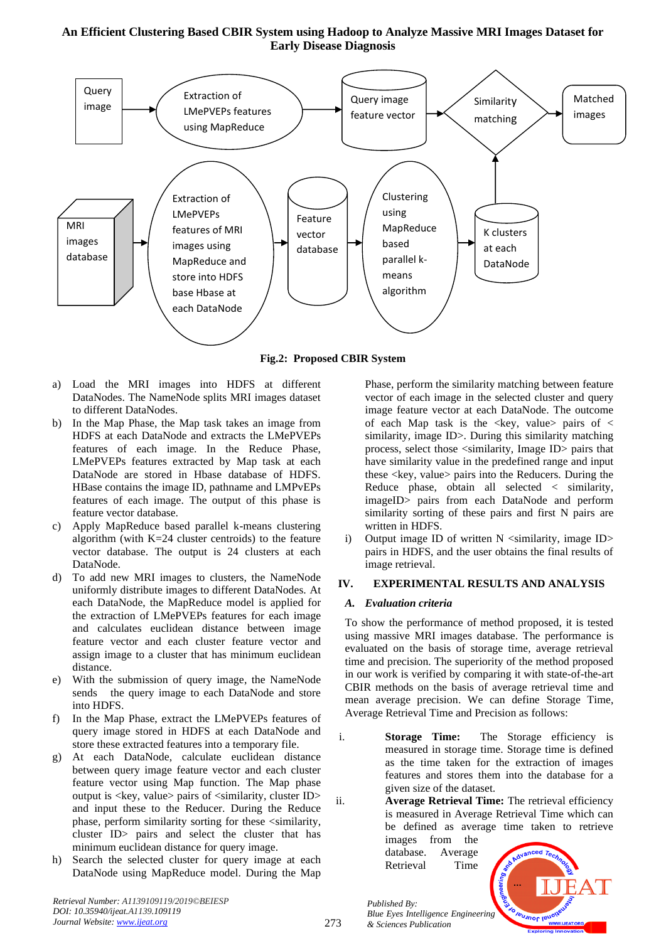

**Fig.2: Proposed CBIR System**

- a) Load the MRI images into HDFS at different DataNodes. The NameNode splits MRI images dataset to different DataNodes.
- b) In the Map Phase, the Map task takes an image from HDFS at each DataNode and extracts the LMePVEPs features of each image. In the Reduce Phase, LMePVEPs features extracted by Map task at each DataNode are stored in Hbase database of HDFS. HBase contains the image ID, pathname and LMPvEPs features of each image. The output of this phase is feature vector database.
- c) Apply MapReduce based parallel k-means clustering algorithm (with  $K=24$  cluster centroids) to the feature vector database. The output is 24 clusters at each DataNode.
- d) To add new MRI images to clusters, the NameNode uniformly distribute images to different DataNodes. At each DataNode, the MapReduce model is applied for the extraction of LMePVEPs features for each image and calculates euclidean distance between image feature vector and each cluster feature vector and assign image to a cluster that has minimum euclidean distance.
- e) With the submission of query image, the NameNode sends the query image to each DataNode and store into HDFS.
- f) In the Map Phase, extract the LMePVEPs features of query image stored in HDFS at each DataNode and store these extracted features into a temporary file.
- g) At each DataNode, calculate euclidean distance between query image feature vector and each cluster feature vector using Map function. The Map phase output is  $\langle$ key, value $>$  pairs of  $\langle$ similarity, cluster ID $>$ and input these to the Reducer. During the Reduce phase, perform similarity sorting for these <similarity, cluster ID> pairs and select the cluster that has minimum euclidean distance for query image.
- h) Search the selected cluster for query image at each DataNode using MapReduce model. During the Map

*Retrieval Number: A1139109119/2019©BEIESP DOI: 10.35940/ijeat.A1139.109119 Journal Website[: www.ijeat.org](http://www.ijeat.org/)*

Phase, perform the similarity matching between feature vector of each image in the selected cluster and query image feature vector at each DataNode. The outcome of each Map task is the  $\langle$ key, value pairs of  $\langle$ similarity, image ID>. During this similarity matching process, select those <similarity, Image ID> pairs that have similarity value in the predefined range and input these <key, value> pairs into the Reducers. During the Reduce phase, obtain all selected < similarity, imageID> pairs from each DataNode and perform similarity sorting of these pairs and first N pairs are written in HDFS.

i) Output image ID of written  $N$  <similarity, image ID > pairs in HDFS, and the user obtains the final results of image retrieval.

## **IV. EXPERIMENTAL RESULTS AND ANALYSIS**

## *A. Evaluation criteria*

To show the performance of method proposed, it is tested using massive MRI images database. The performance is evaluated on the basis of storage time, average retrieval time and precision. The superiority of the method proposed in our work is verified by comparing it with state-of-the-art CBIR methods on the basis of average retrieval time and mean average precision. We can define Storage Time, Average Retrieval Time and Precision as follows:

i. **Storage Time:** The Storage efficiency is measured in storage time. Storage time is defined as the time taken for the extraction of images features and stores them into the database for a given size of the dataset.

ii. **Average Retrieval Time:** The retrieval efficiency is measured in Average Retrieval Time which can be defined as average time taken to retrieve images from the

database. Average Retrieval Time



*Published By: Blue Eyes Intelligence Engineering & Sciences Publication*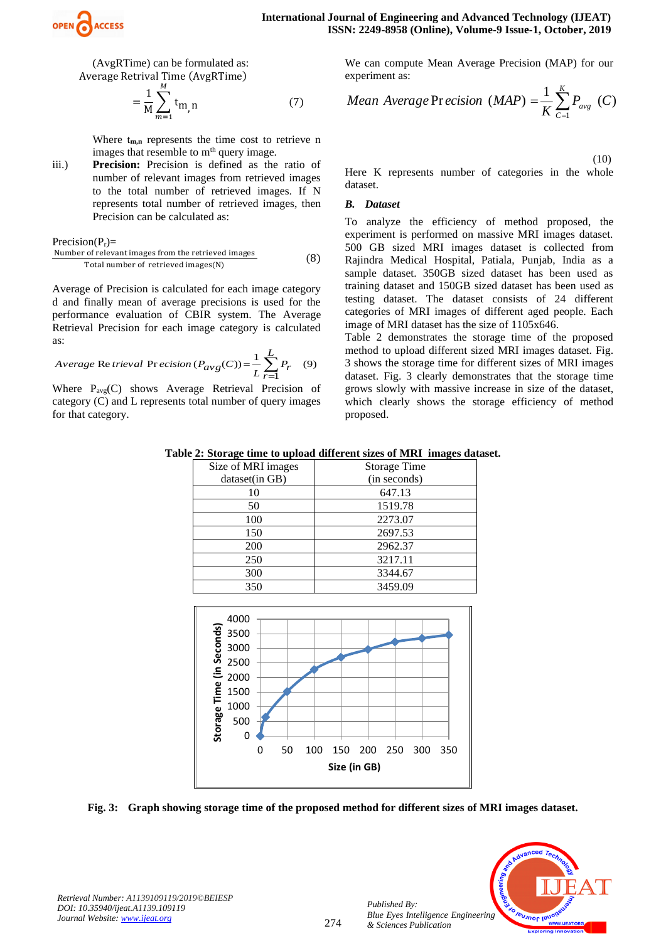

(AvgRTime) can be formulated as: Average Retrival Time (AvgRTime)

$$
= \frac{1}{M} \sum_{m=1}^{M} t_{m,n}
$$
 (7)

Where  $t_{m,n}$  represents the time cost to retrieve n images that resemble to m<sup>th</sup> query image.

iii.) **Precision:** Precision is defined as the ratio of number of relevant images from retrieved images to the total number of retrieved images. If N represents total number of retrieved images, then Precision can be calculated as:

 $Precision(P_r)$ =

Number of relevant images from the retrieved images Total number of retrieved images(N) (8)

Average of Precision is calculated for each image category d and finally mean of average precisions is used for the performance evaluation of CBIR system. The Average Retrieval Precision for each image category is calculated as:

$$
Average \text{ Re }trieval \text{ Pr }ecision\left(P_{avg}(C)\right) = \frac{1}{L} \sum_{r=1}^{L} P_r \quad (9)
$$

Where  $P_{\text{ave}}(C)$  shows Average Retrieval Precision of category (C) and L represents total number of query images for that category.

We can compute Mean Average Precision (MAP) for our experiment as:

Mean Average Pr *ecision* 
$$
(MAP) = \frac{1}{K} \sum_{c=1}^{K} P_{avg}
$$
 (C)

(10)

Here K represents number of categories in the whole dataset.

#### *B. Dataset*

To analyze the efficiency of method proposed, the experiment is performed on massive MRI images dataset. 500 GB sized MRI images dataset is collected from Rajindra Medical Hospital, Patiala, Punjab, India as a sample dataset. 350GB sized dataset has been used as training dataset and 150GB sized dataset has been used as testing dataset. The dataset consists of 24 different categories of MRI images of different aged people. Each image of MRI dataset has the size of 1105x646.

Table 2 demonstrates the storage time of the proposed method to upload different sized MRI images dataset. Fig. 3 shows the storage time for different sizes of MRI images dataset. Fig. 3 clearly demonstrates that the storage time grows slowly with massive increase in size of the dataset, which clearly shows the storage efficiency of method proposed.

**Table 2: Storage time to upload different sizes of MRI images dataset.**

| Size of MRI images                                                                                                                                                                                                  | <b>Storage Time</b>             |  |  |  |  |  |  |
|---------------------------------------------------------------------------------------------------------------------------------------------------------------------------------------------------------------------|---------------------------------|--|--|--|--|--|--|
| dataset(in GB)                                                                                                                                                                                                      | (in seconds)                    |  |  |  |  |  |  |
| 10                                                                                                                                                                                                                  | 647.13                          |  |  |  |  |  |  |
| 50                                                                                                                                                                                                                  | 1519.78                         |  |  |  |  |  |  |
| 100                                                                                                                                                                                                                 | 2273.07                         |  |  |  |  |  |  |
| 150                                                                                                                                                                                                                 | 2697.53                         |  |  |  |  |  |  |
| 200                                                                                                                                                                                                                 | 2962.37                         |  |  |  |  |  |  |
| 250                                                                                                                                                                                                                 | 3217.11                         |  |  |  |  |  |  |
| 300                                                                                                                                                                                                                 | 3344.67                         |  |  |  |  |  |  |
| 350                                                                                                                                                                                                                 | 3459.09                         |  |  |  |  |  |  |
| 4000<br><b>SECONDENTIFY</b><br><b>SECONDENTIFY</b><br><b>SECONDENTIFY</b><br><b>SECONDENTIFY</b><br><b>SECONDENTIFY</b><br><b>SECONDENTIFY</b><br><b>SECONDENTIFY</b><br><b>SECONDENTIFY</b><br><b>SECONDENTIFY</b> |                                 |  |  |  |  |  |  |
|                                                                                                                                                                                                                     |                                 |  |  |  |  |  |  |
|                                                                                                                                                                                                                     |                                 |  |  |  |  |  |  |
| 50<br>0<br>100                                                                                                                                                                                                      | 300<br>150<br>200<br>250<br>350 |  |  |  |  |  |  |
|                                                                                                                                                                                                                     | Size (in GB)                    |  |  |  |  |  |  |
|                                                                                                                                                                                                                     |                                 |  |  |  |  |  |  |

**Fig. 3: Graph showing storage time of the proposed method for different sizes of MRI images dataset.**



*Retrieval Number: A1139109119/2019©BEIESP DOI: 10.35940/ijeat.A1139.109119 Journal Website[: www.ijeat.org](http://www.ijeat.org/)*

*Published By:*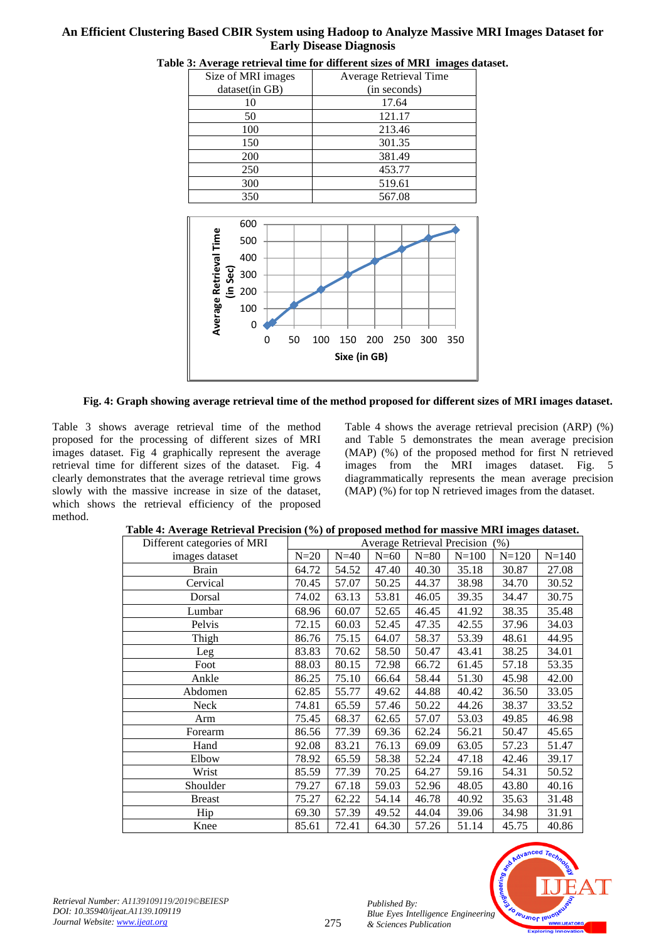| Size of MRI images | Average Retrieval Time |  |  |  |  |
|--------------------|------------------------|--|--|--|--|
| dataset(in GB)     | (in seconds)           |  |  |  |  |
| 10                 | 17.64                  |  |  |  |  |
| 50                 | 121.17                 |  |  |  |  |
| 100                | 213.46                 |  |  |  |  |
| 150                | 301.35                 |  |  |  |  |
| 200                | 381.49                 |  |  |  |  |
| 250                | 453.77                 |  |  |  |  |
| 300                | 519.61                 |  |  |  |  |
| 350                | 567.08                 |  |  |  |  |
|                    |                        |  |  |  |  |





 **Fig. 4: Graph showing average retrieval time of the method proposed for different sizes of MRI images dataset.**

Table 3 shows average retrieval time of the method proposed for the processing of different sizes of MRI images dataset. Fig 4 graphically represent the average retrieval time for different sizes of the dataset. Fig. 4 clearly demonstrates that the average retrieval time grows slowly with the massive increase in size of the dataset, which shows the retrieval efficiency of the proposed method.

Table 4 shows the average retrieval precision (ARP) (%) and Table 5 demonstrates the mean average precision (MAP) (%) of the proposed method for first N retrieved images from the MRI images dataset. Fig. 5 diagrammatically represents the mean average precision (MAP) (%) for top N retrieved images from the dataset.

| Different categories of MRI | <b>Average Retrieval Precision</b><br>(% ) |        |        |        |           |           |           |
|-----------------------------|--------------------------------------------|--------|--------|--------|-----------|-----------|-----------|
| images dataset              | $N=20$                                     | $N=40$ | $N=60$ | $N=80$ | $N = 100$ | $N = 120$ | $N = 140$ |
| <b>Brain</b>                | 64.72                                      | 54.52  | 47.40  | 40.30  | 35.18     | 30.87     | 27.08     |
| Cervical                    | 70.45                                      | 57.07  | 50.25  | 44.37  | 38.98     | 34.70     | 30.52     |
| Dorsal                      | 74.02                                      | 63.13  | 53.81  | 46.05  | 39.35     | 34.47     | 30.75     |
| Lumbar                      | 68.96                                      | 60.07  | 52.65  | 46.45  | 41.92     | 38.35     | 35.48     |
| Pelvis                      | 72.15                                      | 60.03  | 52.45  | 47.35  | 42.55     | 37.96     | 34.03     |
| Thigh                       | 86.76                                      | 75.15  | 64.07  | 58.37  | 53.39     | 48.61     | 44.95     |
| Leg                         | 83.83                                      | 70.62  | 58.50  | 50.47  | 43.41     | 38.25     | 34.01     |
| Foot                        | 88.03                                      | 80.15  | 72.98  | 66.72  | 61.45     | 57.18     | 53.35     |
| Ankle                       | 86.25                                      | 75.10  | 66.64  | 58.44  | 51.30     | 45.98     | 42.00     |
| Abdomen                     | 62.85                                      | 55.77  | 49.62  | 44.88  | 40.42     | 36.50     | 33.05     |
| <b>Neck</b>                 | 74.81                                      | 65.59  | 57.46  | 50.22  | 44.26     | 38.37     | 33.52     |
| Arm                         | 75.45                                      | 68.37  | 62.65  | 57.07  | 53.03     | 49.85     | 46.98     |
| Forearm                     | 86.56                                      | 77.39  | 69.36  | 62.24  | 56.21     | 50.47     | 45.65     |
| Hand                        | 92.08                                      | 83.21  | 76.13  | 69.09  | 63.05     | 57.23     | 51.47     |
| Elbow                       | 78.92                                      | 65.59  | 58.38  | 52.24  | 47.18     | 42.46     | 39.17     |
| Wrist                       | 85.59                                      | 77.39  | 70.25  | 64.27  | 59.16     | 54.31     | 50.52     |
| Shoulder                    | 79.27                                      | 67.18  | 59.03  | 52.96  | 48.05     | 43.80     | 40.16     |
| <b>Breast</b>               | 75.27                                      | 62.22  | 54.14  | 46.78  | 40.92     | 35.63     | 31.48     |
| Hip                         | 69.30                                      | 57.39  | 49.52  | 44.04  | 39.06     | 34.98     | 31.91     |
| Knee                        | 85.61                                      | 72.41  | 64.30  | 57.26  | 51.14     | 45.75     | 40.86     |

 **Table 4: Average Retrieval Precision (%) of proposed method for massive MRI images dataset.**



*Published By:*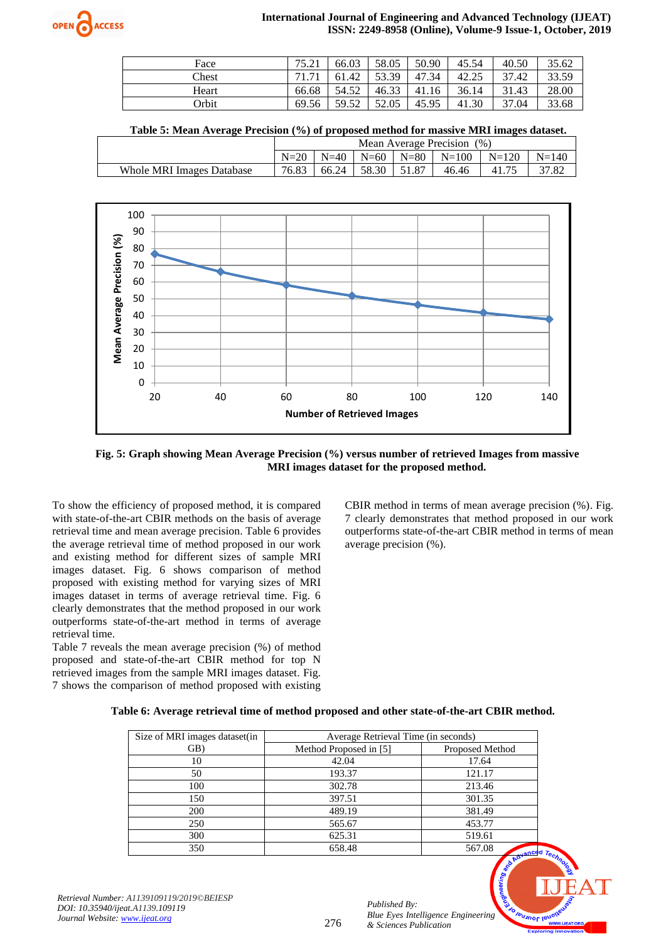

| Face  | 75.21 | 66.03     | 58.05 | 50.90 | 45.54 | 40.50 | 35.62 |
|-------|-------|-----------|-------|-------|-------|-------|-------|
| Chest | 71 71 | .42<br>61 | 53.39 | 47.34 | 42.25 | 37.42 | 33.59 |
| Heart | 66.68 | 54.52     | 46.33 | 41.16 | 36.14 | 31.43 | 28.00 |
| Orbit | 69.56 | 59.52     | 52.05 | 45.95 | 41.30 | 37.04 | 33.68 |

 **Table 5: Mean Average Precision (%) of proposed method for massive MRI images dataset.**

|                                  | Mean Average Precision (%) |        |         |       |                       |         |           |
|----------------------------------|----------------------------|--------|---------|-------|-----------------------|---------|-----------|
|                                  | $N=20$                     | $N=40$ |         |       | $N=60$ $N=80$ $N=100$ | $N=120$ | $N = 140$ |
| <b>Whole MRI Images Database</b> | 76.83                      | 66.24  | 1,58.30 | 51.87 | 46.46                 | 41.75   | 37.82     |



 **Fig. 5: Graph showing Mean Average Precision (%) versus number of retrieved Images from massive MRI images dataset for the proposed method.**

To show the efficiency of proposed method, it is compared with state-of-the-art CBIR methods on the basis of average retrieval time and mean average precision. Table 6 provides the average retrieval time of method proposed in our work and existing method for different sizes of sample MRI images dataset. Fig. 6 shows comparison of method proposed with existing method for varying sizes of MRI images dataset in terms of average retrieval time. Fig. 6 clearly demonstrates that the method proposed in our work outperforms state-of-the-art method in terms of average retrieval time.

Table 7 reveals the mean average precision (%) of method proposed and state-of-the-art CBIR method for top N retrieved images from the sample MRI images dataset. Fig. 7 shows the comparison of method proposed with existing CBIR method in terms of mean average precision (%). Fig. 7 clearly demonstrates that method proposed in our work outperforms state-of-the-art CBIR method in terms of mean average precision (%).

#### **Table 6: Average retrieval time of method proposed and other state-of-the-art CBIR method.**

| Size of MRI images dataset(in | Average Retrieval Time (in seconds) |                       |  |  |  |  |
|-------------------------------|-------------------------------------|-----------------------|--|--|--|--|
| GB)                           | Method Proposed in [5]              | Proposed Method       |  |  |  |  |
| 10                            | 42.04                               | 17.64                 |  |  |  |  |
| 50                            | 193.37                              | 121.17                |  |  |  |  |
| 100                           | 302.78                              | 213.46                |  |  |  |  |
| 150                           | 397.51                              | 301.35                |  |  |  |  |
| 200                           | 489.19                              | 381.49                |  |  |  |  |
| 250                           | 565.67                              | 453.77                |  |  |  |  |
| 300                           | 625.31                              | 519.61                |  |  |  |  |
| 350                           | 658.48                              | 567.08<br>$rac{1}{2}$ |  |  |  |  |

276



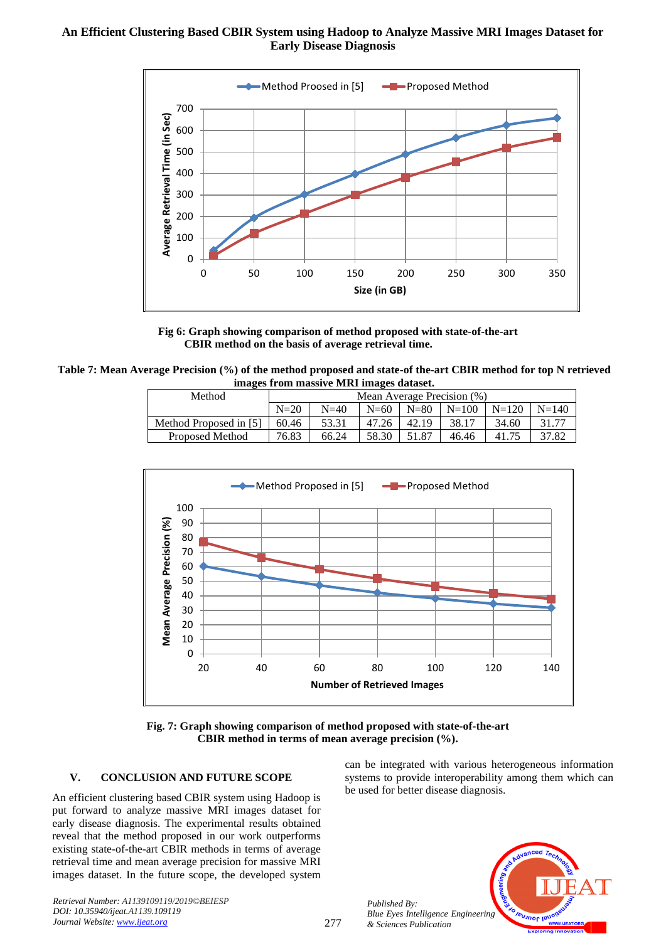

 **Fig 6: Graph showing comparison of method proposed with state-of-the-art CBIR method on the basis of average retrieval time.**

**Table 7: Mean Average Precision (%) of the method proposed and state-of the-art CBIR method for top N retrieved images from massive MRI images dataset.**

| Method                 | Mean Average Precision (%) |        |           |          |           |         |           |
|------------------------|----------------------------|--------|-----------|----------|-----------|---------|-----------|
|                        | $N=20$                     | $N=40$ | $N=\{60}$ | $N = 80$ | $N = 100$ | $N=120$ | $N = 140$ |
| Method Proposed in [5] | 60.46                      | 53.31  | 47.26     | 42.19    | 38.17     | 34.60   | 31.77     |
| <b>Proposed Method</b> | 76.83                      | 66.24  | 58.30     | 51.87    | 46.46     | 41.75   | 37.82     |



**Fig. 7: Graph showing comparison of method proposed with state-of-the-art CBIR method in terms of mean average precision (%).**

## **V. CONCLUSION AND FUTURE SCOPE**

An efficient clustering based CBIR system using Hadoop is put forward to analyze massive MRI images dataset for early disease diagnosis. The experimental results obtained reveal that the method proposed in our work outperforms existing state-of-the-art CBIR methods in terms of average retrieval time and mean average precision for massive MRI images dataset. In the future scope, the developed system

can be integrated with various heterogeneous information systems to provide interoperability among them which can be used for better disease diagnosis.



*Published By: Blue Eyes Intelligence Engineering & Sciences Publication*